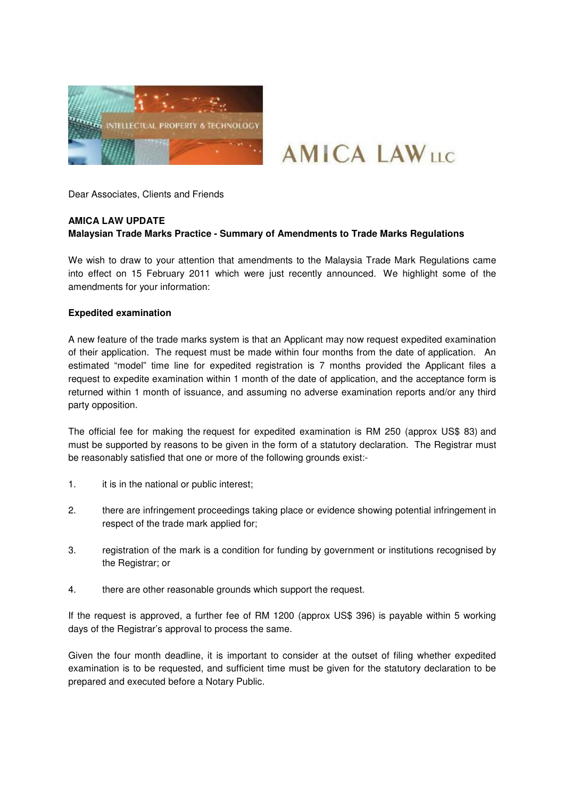

# **AMICA LAWIIC**

Dear Associates, Clients and Friends

## **AMICA LAW UPDATE**

## **Malaysian Trade Marks Practice - Summary of Amendments to Trade Marks Regulations**

We wish to draw to your attention that amendments to the Malaysia Trade Mark Regulations came into effect on 15 February 2011 which were just recently announced. We highlight some of the amendments for your information:

#### **Expedited examination**

A new feature of the trade marks system is that an Applicant may now request expedited examination of their application. The request must be made within four months from the date of application. An estimated "model" time line for expedited registration is 7 months provided the Applicant files a request to expedite examination within 1 month of the date of application, and the acceptance form is returned within 1 month of issuance, and assuming no adverse examination reports and/or any third party opposition.

The official fee for making the request for expedited examination is RM 250 (approx US\$ 83) and must be supported by reasons to be given in the form of a statutory declaration. The Registrar must be reasonably satisfied that one or more of the following grounds exist:-

- 1. it is in the national or public interest;
- 2. there are infringement proceedings taking place or evidence showing potential infringement in respect of the trade mark applied for;
- 3. registration of the mark is a condition for funding by government or institutions recognised by the Registrar; or
- 4. there are other reasonable grounds which support the request.

If the request is approved, a further fee of RM 1200 (approx US\$ 396) is payable within 5 working days of the Registrar's approval to process the same.

Given the four month deadline, it is important to consider at the outset of filing whether expedited examination is to be requested, and sufficient time must be given for the statutory declaration to be prepared and executed before a Notary Public.